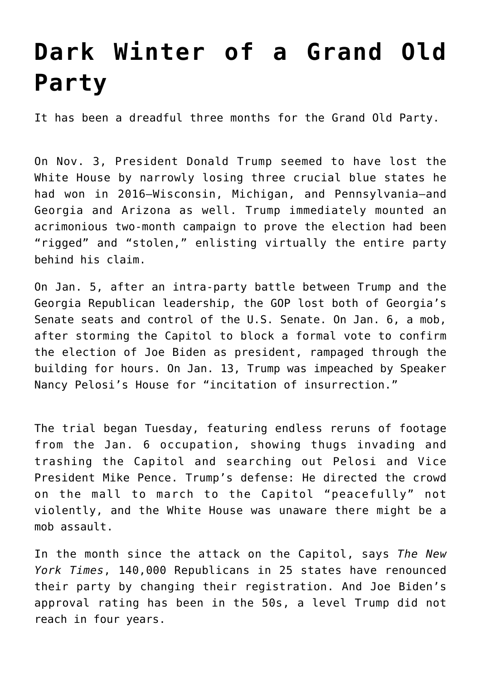## **[Dark Winter of a Grand Old](https://intellectualtakeout.org/2021/02/dark-winter-of-a-grand-old-party/) [Party](https://intellectualtakeout.org/2021/02/dark-winter-of-a-grand-old-party/)**

It has been a dreadful three months for the Grand Old Party.

On Nov. 3, President Donald Trump seemed to have lost the White House by narrowly losing three crucial blue states he had won in 2016—Wisconsin, Michigan, and Pennsylvania—and Georgia and Arizona as well. Trump immediately mounted an acrimonious two-month campaign to prove the election had been "rigged" and "stolen," enlisting virtually the entire party behind his claim.

On Jan. 5, after an intra-party battle between Trump and the Georgia Republican leadership, the GOP lost both of Georgia's Senate seats and control of the U.S. Senate. On Jan. 6, a mob, after storming the Capitol to block a formal vote to confirm the election of Joe Biden as president, rampaged through the building for hours. On Jan. 13, Trump was impeached by Speaker Nancy Pelosi's House for "incitation of insurrection."

The trial began Tuesday, featuring endless reruns of footage from the Jan. 6 occupation, showing thugs invading and trashing the Capitol and searching out Pelosi and Vice President Mike Pence. Trump's defense: He directed the crowd on the mall to march to the Capitol "peacefully" not violently, and the White House was unaware there might be a mob assault.

In the month since the attack on the Capitol, says *The New York Times*, 140,000 Republicans in 25 states have renounced their party by changing their registration. And Joe Biden's approval rating has been in the 50s, a level Trump did not reach in four years.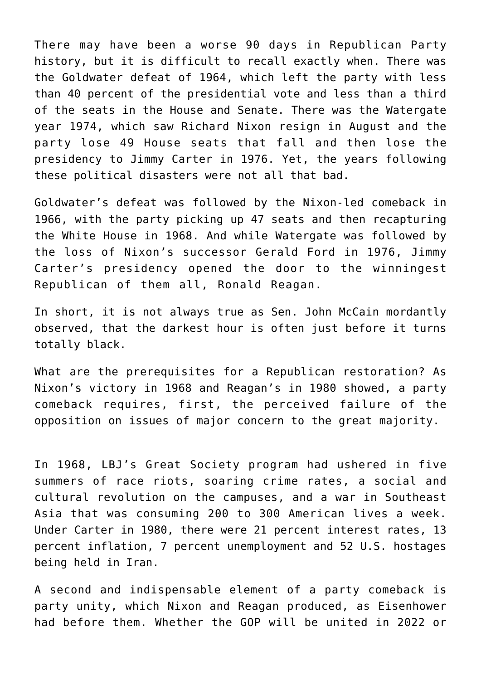There may have been a worse 90 days in Republican Party history, but it is difficult to recall exactly when. There was the Goldwater defeat of 1964, which left the party with less than 40 percent of the presidential vote and less than a third of the seats in the House and Senate. There was the Watergate year 1974, which saw Richard Nixon resign in August and the party lose 49 House seats that fall and then lose the presidency to Jimmy Carter in 1976. Yet, the years following these political disasters were not all that bad.

Goldwater's defeat was followed by the Nixon-led comeback in 1966, with the party picking up 47 seats and then recapturing the White House in 1968. And while Watergate was followed by the loss of Nixon's successor Gerald Ford in 1976, Jimmy Carter's presidency opened the door to the winningest Republican of them all, Ronald Reagan.

In short, it is not always true as Sen. John McCain mordantly observed, that the darkest hour is often just before it turns totally black.

What are the prerequisites for a Republican restoration? As Nixon's victory in 1968 and Reagan's in 1980 showed, a party comeback requires, first, the perceived failure of the opposition on issues of major concern to the great majority.

In 1968, LBJ's Great Society program had ushered in five summers of race riots, soaring crime rates, a social and cultural revolution on the campuses, and a war in Southeast Asia that was consuming 200 to 300 American lives a week. Under Carter in 1980, there were 21 percent interest rates, 13 percent inflation, 7 percent unemployment and 52 U.S. hostages being held in Iran.

A second and indispensable element of a party comeback is party unity, which Nixon and Reagan produced, as Eisenhower had before them. Whether the GOP will be united in 2022 or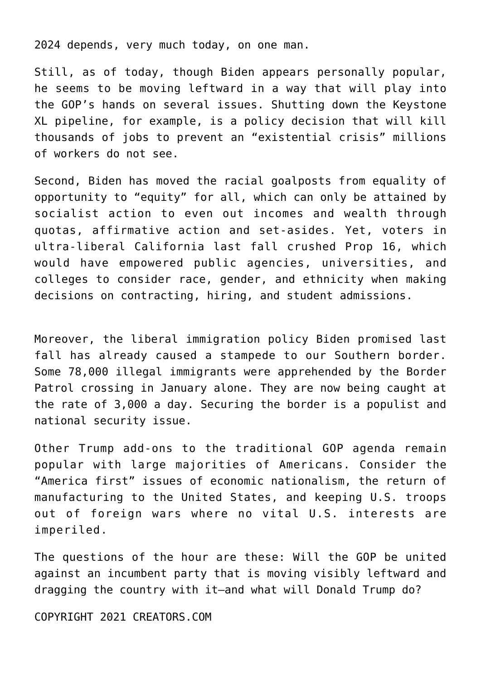2024 depends, very much today, on one man.

Still, as of today, though Biden appears personally popular, he seems to be moving leftward in a way that will play into the GOP's hands on several issues. Shutting down the Keystone XL pipeline, for example, is a policy decision that will kill thousands of jobs to prevent an "existential crisis" millions of workers do not see.

Second, Biden has moved the racial goalposts from equality of opportunity to "equity" for all, which can only be attained by socialist action to even out incomes and wealth through quotas, affirmative action and set-asides. Yet, voters in ultra-liberal California last fall crushed Prop 16, which would have empowered public agencies, universities, and colleges to consider race, gender, and ethnicity when making decisions on contracting, hiring, and student admissions.

Moreover, the liberal immigration policy Biden promised last fall has already caused a stampede to our Southern border. Some 78,000 illegal immigrants were apprehended by the Border Patrol crossing in January alone. They are now being caught at the rate of 3,000 a day. Securing the border is a populist and national security issue.

Other Trump add-ons to the traditional GOP agenda remain popular with large majorities of Americans. Consider the "America first" issues of economic nationalism, the return of manufacturing to the United States, and keeping U.S. troops out of foreign wars where no vital U.S. interests are imperiled.

The questions of the hour are these: Will the GOP be united against an incumbent party that is moving visibly leftward and dragging the country with it—and what will Donald Trump do?

COPYRIGHT 2021 CREATORS.COM